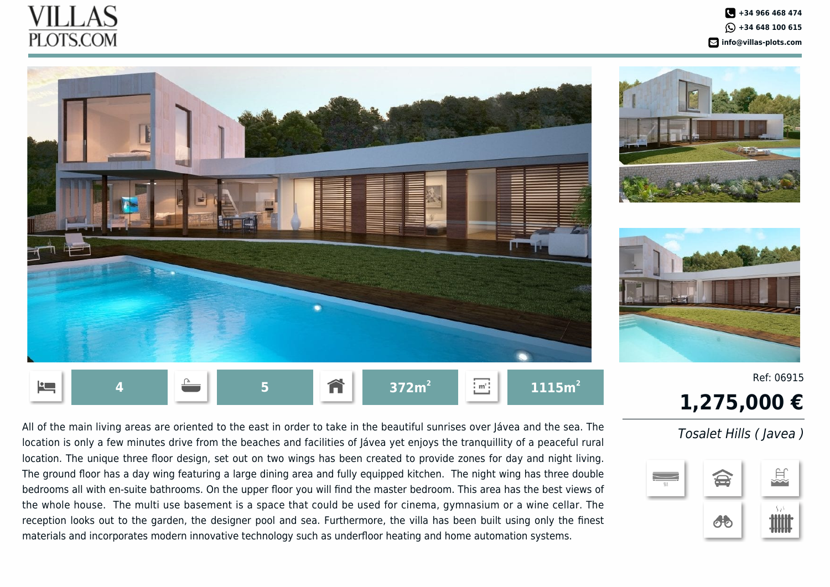## II J AS **PLOTS.COM**





Ref: 06915

## **1,275,000 €**

All of the main living areas are oriented to the east in order to take in the beautiful sunrises over Jávea and the sea. The location is only a few minutes drive from the beaches and facilities of Jávea yet enjoys the tranquillity of a peaceful rural location. The unique three floor design, set out on two wings has been created to provide zones for day and night living. The ground floor has a day wing featuring a large dining area and fully equipped kitchen. The night wing has three double bedrooms all with en-suite bathrooms. On the upper floor you will find the master bedroom. This area has the best views of the whole house. The multi use basement is a space that could be used for cinema, gymnasium or a wine cellar. The reception looks out to the garden, the designer pool and sea. Furthermore, the villa has been built using only the finest materials and incorporates modern innovative technology such as underfloor heating and home automation systems.

## Tosalet Hills ( Javea )